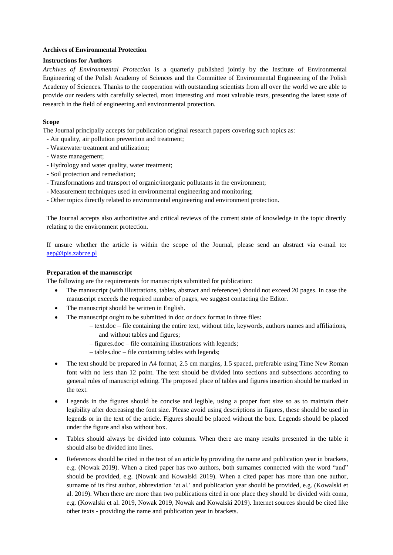## **Archives of Environmental Protection**

## **Instructions for Authors**

*Archives of Environmental Protection* is a quarterly published jointly by the Institute of Environmental Engineering of the Polish Academy of Sciences and the Committee of Environmental Engineering of the Polish Academy of Sciences. Thanks to the cooperation with outstanding scientists from all over the world we are able to provide our readers with carefully selected, most interesting and most valuable texts, presenting the latest state of research in the field of engineering and environmental protection.

# **Scope**

The Journal principally accepts for publication original research papers covering such topics as:

- Air quality, air pollution prevention and treatment;
- Wastewater treatment and utilization;
- Waste management;
- Hydrology and water quality, water treatment;
- Soil protection and remediation;
- Transformations and transport of organic/inorganic pollutants in the environment;
- Measurement techniques used in environmental engineering and monitoring;
- Other topics directly related to environmental engineering and environment protection.

The Journal accepts also authoritative and critical reviews of the current state of knowledge in the topic directly relating to the environment protection.

If unsure whether the article is within the scope of the Journal, please send an abstract via e-mail to: [aep@ipis.zabrze.pl](mailto:aep@ipis.zabrze.pl)

## **Preparation of the manuscript**

The following are the requirements for manuscripts submitted for publication:

- The manuscript (with illustrations, tables, abstract and references) should not exceed 20 pages. In case the manuscript exceeds the required number of pages, we suggest contacting the Editor.
- The manuscript should be written in English.
- The manuscript ought to be submitted in doc or docx format in three files:
	- text.doc file containing the entire text, without title, keywords, authors names and affiliations, and without tables and figures;
	- figures.doc file containing illustrations with legends;
	- tables.doc file containing tables with legends;
- The text should be prepared in A4 format, 2.5 cm margins, 1.5 spaced, preferable using Time New Roman font with no less than 12 point. The text should be divided into sections and subsections according to general rules of manuscript editing. The proposed place of tables and figures insertion should be marked in the text.
- Legends in the figures should be concise and legible, using a proper font size so as to maintain their legibility after decreasing the font size. Please avoid using descriptions in figures, these should be used in legends or in the text of the article. Figures should be placed without the box. Legends should be placed under the figure and also without box.
- Tables should always be divided into columns. When there are many results presented in the table it should also be divided into lines.
- References should be cited in the text of an article by providing the name and publication year in brackets, e.g. (Nowak 2019). When a cited paper has two authors, both surnames connected with the word "and" should be provided, e.g. (Nowak and Kowalski 2019). When a cited paper has more than one author, surname of its first author, abbreviation 'et al.' and publication year should be provided, e.g. (Kowalski et al. 2019). When there are more than two publications cited in one place they should be divided with coma, e.g. (Kowalski et al. 2019, Nowak 2019, Nowak and Kowalski 2019). Internet sources should be cited like other texts - providing the name and publication year in brackets.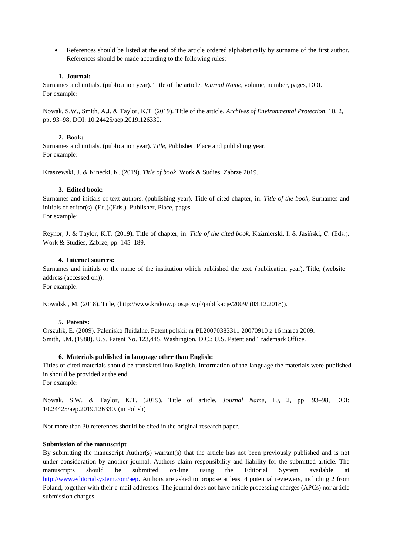References should be listed at the end of the article ordered alphabetically by surname of the first author. References should be made according to the following rules:

## **1. Journal:**

Surnames and initials. (publication year). Title of the article, *Journal Name*, volume, number, pages, DOI. For example:

Nowak, S.W., Smith, A.J. & Taylor, K.T. (2019). Title of the article, *Archives of Environmental Protection*, 10, 2, pp. 93–98, DOI: 10.24425/aep.2019.126330.

### **2. Book:**

Surnames and initials. (publication year). *Title*, Publisher, Place and publishing year. For example:

Kraszewski, J. & Kinecki, K. (2019). *Title of book*, Work & Sudies, Zabrze 2019.

### **3. Edited book:**

Surnames and initials of text authors. (publishing year). Title of cited chapter, in: *Title of the book*, Surnames and initials of editor(s). (Ed.)/(Eds.). Publisher, Place, pages. For example:

Reynor, J. & Taylor, K.T. (2019). Title of chapter, in: *Title of the cited book*, Kaźmierski, I. & Jasiński, C. (Eds.). Work & Studies, Zabrze, pp. 145–189.

### **4. Internet sources:**

Surnames and initials or the name of the institution which published the text. (publication year). Title, (website address (accessed on)).

For example:

Kowalski, M. (2018). Titl[e, \(http://www.krakow.pios.gov.pl/publikacje/2009/](http://www.krakow.pios.gov.pl/publikacje/2009/) (03.12.2018)).

### **5. Patents:**

Orszulik, E. (2009). Palenisko fluidalne, Patent polski: nr PL20070383311 20070910 z 16 marca 2009. Smith, I.M. (1988). U.S. Patent No. 123,445. Washington, D.C.: U.S. Patent and Trademark Office.

### **6. Materials published in language other than English:**

Titles of cited materials should be translated into English. Information of the language the materials were published in should be provided at the end.

For example:

Nowak, S.W. & Taylor, K.T. (2019). Title of article, *Journal Name*, 10, 2, pp. 93–98, DOI: 10.24425/aep.2019.126330. (in Polish)

Not more than 30 references should be cited in the original research paper.

### **Submission of the manuscript**

By submitting the manuscript Author(s) warrant(s) that the article has not been previously published and is not under consideration by another journal. Authors claim responsibility and liability for the submitted article. The manuscripts should be submitted on-line using the Editorial System available at [http://www.editorialsystem.com/aep.](http://www.editorialsystem.com/aep) Authors are asked to propose at least 4 potential reviewers, including 2 from Poland, together with their e-mail addresses. The journal does not have article processing charges (APCs) nor article submission charges.